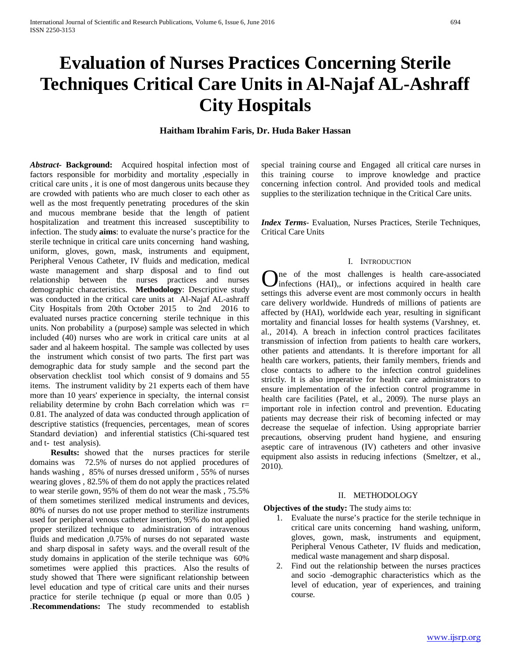# **Evaluation of Nurses Practices Concerning Sterile Techniques Critical Care Units in Al-Najaf AL-Ashraff City Hospitals**

# **Haitham Ibrahim Faris, Dr. Huda Baker Hassan**

*Abstract***- Background:** Acquired hospital infection most of factors responsible for morbidity and mortality ,especially in critical care units , it is one of most dangerous units because they are crowded with patients who are much closer to each other as well as the most frequently penetrating procedures of the skin and mucous membrane beside that the length of patient hospitalization and treatment this increased susceptibility to infection. The study **aims**: to evaluate the nurse's practice for the sterile technique in critical care units concerning hand washing, uniform, gloves, gown, mask, instruments and equipment, Peripheral Venous Catheter, IV fluids and medication, medical waste management and sharp disposal and to find out relationship between the nurses practices and nurses demographic characteristics. **Methodology**: Descriptive study was conducted in the critical care units at Al-Najaf AL-ashraff City Hospitals from 20th October 2015 to 2nd 2016 to evaluated nurses practice concerning sterile technique in this units. Non probability a (purpose) sample was selected in which included (40) nurses who are work in critical care units at al sader and al hakeem hospital. The sample was collected by uses the instrument which consist of two parts. The first part was demographic data for study sample and the second part the observation checklist tool which consist of 9 domains and 55 items. The instrument validity by 21 experts each of them have more than 10 years' experience in specialty, the internal consist reliability determine by crohn Bach correlation which was r= 0.81. The analyzed of data was conducted through application of descriptive statistics (frequencies, percentages, mean of scores Standard deviation) and inferential statistics (Chi-squared test and t- test analysis).

 **Results:** showed that the nurses practices for sterile domains was 72.5% of nurses do not applied procedures of hands washing , 85% of nurses dressed uniform , 55% of nurses wearing gloves , 82.5% of them do not apply the practices related to wear sterile gown, 95% of them do not wear the mask , 75.5% of them sometimes sterilized medical instruments and devices, 80% of nurses do not use proper method to sterilize instruments used for peripheral venous catheter insertion, 95% do not applied proper sterilized technique to administration of intravenous fluids and medication ,0.75% of nurses do not separated waste and sharp disposal in safety ways. and the overall result of the study domains in application of the sterile technique was 60% sometimes were applied this practices. Also the results of study showed that There were significant relationship between level education and type of critical care units and their nurses practice for sterile technique (p equal or more than 0.05 ) .**Recommendations:** The study recommended to establish special training course and Engaged all critical care nurses in this training course to improve knowledge and practice concerning infection control. And provided tools and medical supplies to the sterilization technique in the Critical Care units.

*Index Terms*- Evaluation, Nurses Practices, Sterile Techniques, Critical Care Units

### I. INTRODUCTION

ne of the most challenges is health care-associated One of the most challenges is health care-associated<br>
in health care<br>
in health care settings this adverse event are most commonly occurs in health care delivery worldwide. Hundreds of millions of patients are affected by (HAI), worldwide each year, resulting in significant mortality and financial losses for health systems (Varshney, et. al., 2014). A breach in infection control practices facilitates transmission of infection from patients to health care workers, other patients and attendants. It is therefore important for all health care workers, patients, their family members, friends and close contacts to adhere to the infection control guidelines strictly. It is also imperative for health care administrators to ensure implementation of the infection control programme in health care facilities (Patel, et al., 2009). The nurse plays an important role in infection control and prevention. Educating patients may decrease their risk of becoming infected or may decrease the sequelae of infection. Using appropriate barrier precautions, observing prudent hand hygiene, and ensuring aseptic care of intravenous (IV) catheters and other invasive equipment also assists in reducing infections (Smeltzer, et al., 2010).

#### II. METHODOLOGY

#### **Objectives of the study:** The study aims to:

- 1. Evaluate the nurse's practice for the sterile technique in critical care units concerning hand washing, uniform, gloves, gown, mask, instruments and equipment, Peripheral Venous Catheter, IV fluids and medication, medical waste management and sharp disposal.
- 2. Find out the relationship between the nurses practices and socio -demographic characteristics which as the level of education, year of experiences, and training course.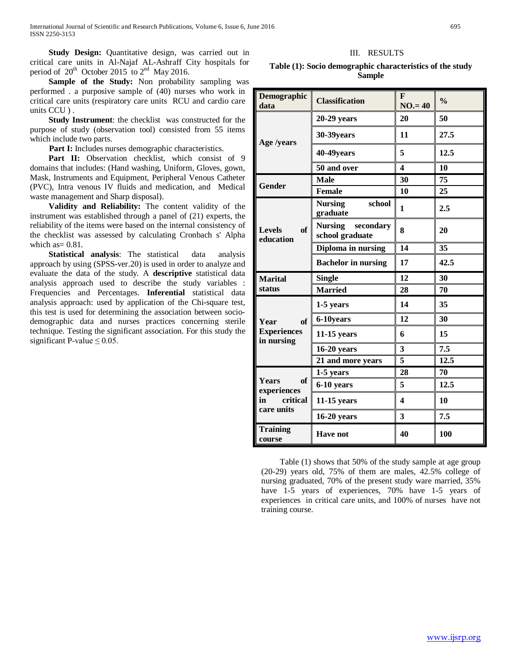**Study Design:** Quantitative design, was carried out in critical care units in Al-Najaf AL-Ashraff City hospitals for period of  $20^{th}$  October 2015 to  $2^{nd}$  May 2016.

Sample of the Study: Non probability sampling was performed . a purposive sample of (40) nurses who work in critical care units (respiratory care units RCU and cardio care units CCU ) .

 **Study Instrument**: the checklist was constructed for the purpose of study (observation tool) consisted from 55 items which include two parts.

**Part I:** Includes nurses demographic characteristics.

Part II: Observation checklist, which consist of 9 domains that includes: (Hand washing, Uniform, Gloves, gown, Mask, Instruments and Equipment, Peripheral Venous Catheter (PVC), Intra venous IV fluids and medication, and Medical waste management and Sharp disposal).

 **Validity and Reliability:** The content validity of the instrument was established through a panel of (21) experts, the reliability of the items were based on the internal consistency of the checklist was assessed by calculating Cronbach s' Alpha which as  $= 0.81$ .

 **Statistical analysis**: The statistical data analysis approach by using (SPSS-ver.20) is used in order to analyze and evaluate the data of the study. A **descriptive** statistical data analysis approach used to describe the study variables : Frequencies and Percentages. **Inferential** statistical data analysis approach: used by application of the Chi-square test, this test is used for determining the association between sociodemographic data and nurses practices concerning sterile technique. Testing the significant association. For this study the significant P-value  $\leq 0.05$ .

# III. RESULTS

| Table (1): Socio demographic characteristics of the study |
|-----------------------------------------------------------|
| <b>Sample</b>                                             |

| <b>Demographic</b><br>data                          | <b>Classification</b>                          | F<br>$NO = 40$          | $\frac{0}{0}$ |  |
|-----------------------------------------------------|------------------------------------------------|-------------------------|---------------|--|
|                                                     | $20-29$ years                                  | 20                      | 50            |  |
| Age /years                                          | 30-39years                                     | 11                      | 27.5          |  |
|                                                     | 40-49years                                     | 5                       | 12.5          |  |
|                                                     | 50 and over                                    | $\boldsymbol{4}$        | 10            |  |
| <b>Gender</b>                                       | <b>Male</b>                                    | 30                      | 75            |  |
|                                                     | <b>Female</b>                                  | 10                      | 25            |  |
|                                                     | school<br><b>Nursing</b><br>graduate           | $\mathbf{1}$            | 2.5           |  |
| of<br><b>Levels</b><br>education                    | <b>Nursing</b><br>secondary<br>school graduate | 8                       | 20            |  |
|                                                     | Diploma in nursing                             | 14                      | 35            |  |
|                                                     | <b>Bachelor</b> in nursing                     | 17                      | 42.5          |  |
| <b>Marital</b>                                      | <b>Single</b>                                  | 12                      | 30            |  |
| status                                              | <b>Married</b>                                 | 28                      | 70            |  |
|                                                     | 1-5 years                                      | 14                      | 35            |  |
| of<br>Year                                          | 6-10years                                      | 12                      | 30            |  |
| <b>Experiences</b><br>in nursing                    | $11-15$ years                                  | 6                       | 15            |  |
|                                                     | $16-20$ years                                  | 3                       | 7.5           |  |
|                                                     | 21 and more years                              | 5                       | 12.5          |  |
|                                                     | 1-5 years                                      | 28                      | 70            |  |
| of<br><b>Years</b><br>experiences<br>critical<br>in | 6-10 years                                     | 5                       | 12.5          |  |
|                                                     | $11-15$ years                                  | $\overline{\mathbf{4}}$ | 10            |  |
| care units                                          | $16-20$ years                                  | 3                       | 7.5           |  |
| <b>Training</b><br>course                           | <b>Have not</b>                                | 40                      | 100           |  |

Table (1) shows that 50% of the study sample at age group (20-29) years old, 75% of them are males, 42.5% college of nursing graduated, 70% of the present study ware married, 35% have 1-5 years of experiences, 70% have 1-5 years of experiences in critical care units, and 100% of nurses have not training course.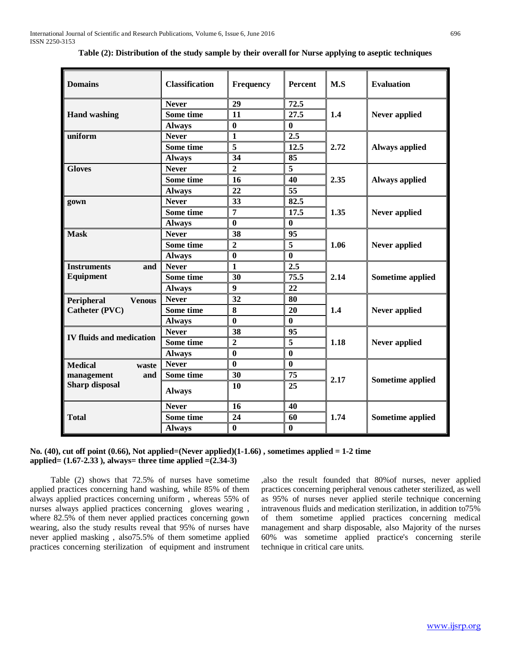| <b>Domains</b>                  | <b>Classification</b> | <b>Frequency</b> | Percent                 | M.S  | <b>Evaluation</b>       |  |
|---------------------------------|-----------------------|------------------|-------------------------|------|-------------------------|--|
|                                 | <b>Never</b>          | 29               | 72.5                    |      |                         |  |
| <b>Hand washing</b>             | Some time             | 11               | $\overline{27.5}$       | 1.4  | Never applied           |  |
|                                 | <b>Always</b>         | $\bf{0}$         | $\bf{0}$                |      |                         |  |
| uniform                         | <b>Never</b>          | $\mathbf{1}$     | 2.5                     |      |                         |  |
|                                 | Some time             | $\overline{5}$   | 12.5                    | 2.72 | <b>Always applied</b>   |  |
|                                 | <b>Always</b>         | 34               | 85                      |      |                         |  |
| <b>Gloves</b>                   | <b>Never</b>          | $\overline{2}$   | $\overline{5}$          |      |                         |  |
|                                 | Some time             | 16               | 40                      | 2.35 | <b>Always applied</b>   |  |
|                                 | <b>Always</b>         | 22               | $\overline{55}$         |      |                         |  |
| gown                            | <b>Never</b>          | 33               | 82.5                    |      |                         |  |
|                                 | Some time             | $\overline{7}$   | 17.5                    | 1.35 | Never applied           |  |
|                                 | <b>Always</b>         | $\bf{0}$         | $\bf{0}$                |      |                         |  |
| <b>Mask</b>                     | <b>Never</b>          | 38               | 95                      |      | Never applied           |  |
|                                 | Some time             | $\overline{2}$   | $\overline{\mathbf{5}}$ | 1.06 |                         |  |
|                                 | <b>Always</b>         | $\bf{0}$         | $\bf{0}$                |      |                         |  |
| <b>Instruments</b><br>and       | <b>Never</b>          | $\mathbf{1}$     | 2.5                     |      |                         |  |
| Equipment                       | Some time             | 30               | 75.5                    | 2.14 | Sometime applied        |  |
|                                 | <b>Always</b>         | $\overline{9}$   | 22                      |      |                         |  |
| <b>Venous</b><br>Peripheral     | <b>Never</b>          | 32               | 80                      |      |                         |  |
| Catheter (PVC)                  | Some time             | 8                | 20                      | 1.4  | Never applied           |  |
|                                 | <b>Always</b>         | $\bf{0}$         | $\mathbf{0}$            |      |                         |  |
|                                 | <b>Never</b>          | 38               | 95                      |      |                         |  |
| <b>IV fluids and medication</b> | Some time             | $\overline{2}$   | 5                       | 1.18 | Never applied           |  |
|                                 | <b>Always</b>         | $\bf{0}$         | $\bf{0}$                |      |                         |  |
| <b>Medical</b><br>waste         | <b>Never</b>          | $\bf{0}$         | $\bf{0}$                |      |                         |  |
| management<br>and               | Some time             | 30               | 75                      | 2.17 | <b>Sometime applied</b> |  |
| <b>Sharp disposal</b>           | <b>Always</b>         | 10               | 25                      |      |                         |  |
|                                 | <b>Never</b>          | 16               | 40                      |      |                         |  |
| <b>Total</b>                    | Some time             | 24               | 60                      | 1.74 | <b>Sometime applied</b> |  |
|                                 | <b>Always</b>         | $\bf{0}$         | $\bf{0}$                |      |                         |  |
|                                 |                       |                  |                         |      |                         |  |

**Table (2): Distribution of the study sample by their overall for Nurse applying to aseptic techniques**

#### **No. (40), cut off point (0.66), Not applied=(Never applied)(1-1.66) , sometimes applied = 1-2 time applied= (1.67-2.33 ), always= three time applied =(2.34-3)**

 Table (2) shows that 72.5% of nurses have sometime applied practices concerning hand washing, while 85% of them always applied practices concerning uniform , whereas 55% of nurses always applied practices concerning gloves wearing , where 82.5% of them never applied practices concerning gown wearing, also the study results reveal that 95% of nurses have never applied masking , also75.5% of them sometime applied practices concerning sterilization of equipment and instrument ,also the result founded that 80%of nurses, never applied practices concerning peripheral venous catheter sterilized, as well as 95% of nurses never applied sterile technique concerning intravenous fluids and medication sterilization, in addition to75% of them sometime applied practices concerning medical management and sharp disposable, also Majority of the nurses 60% was sometime applied practice's concerning sterile technique in critical care units.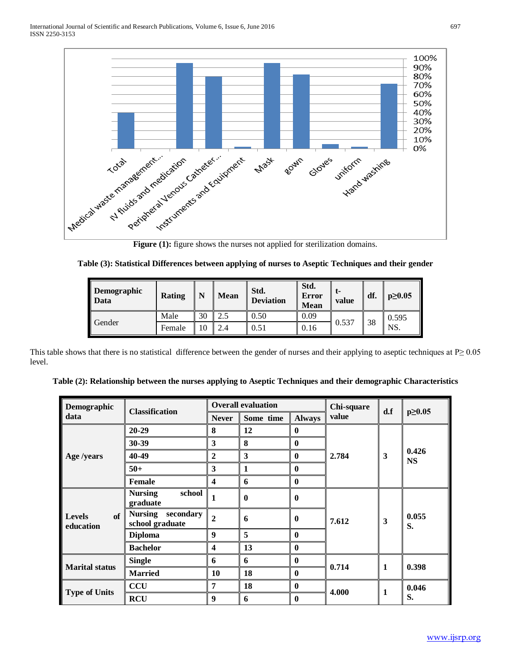

**Figure (1):** figure shows the nurses not applied for sterilization domains.

| Table (3): Statistical Differences between applying of nurses to Aseptic Techniques and their gender |  |  |  |
|------------------------------------------------------------------------------------------------------|--|--|--|
|                                                                                                      |  |  |  |

| <b>Demographic</b><br><b>Data</b> | Rating | N  | Mean | Std.<br><b>Deviation</b> | Std.<br><b>Error</b><br>Mean | t-<br>value | df. | $p \geq 0.05$ |
|-----------------------------------|--------|----|------|--------------------------|------------------------------|-------------|-----|---------------|
| Gender                            | Male   | 30 |      | 0.50                     | 0.09                         |             | 38  | 0.595         |
|                                   | Female | 10 |      | 0.51                     | 0.16                         | 0.537       |     | NS.           |

This table shows that there is no statistical difference between the gender of nurses and their applying to aseptic techniques at  $P \ge 0.05$ level.

| Demographic                      | <b>Classification</b>                          | <b>Overall evaluation</b> |           | Chi-square       | d.f   | $p \ge 0.05$ |                    |
|----------------------------------|------------------------------------------------|---------------------------|-----------|------------------|-------|--------------|--------------------|
| data                             |                                                | <b>Never</b>              | Some time | <b>Always</b>    | value |              |                    |
|                                  | $20 - 29$                                      | 8                         | 12        | $\bf{0}$         |       |              | 0.426<br><b>NS</b> |
|                                  | 30-39                                          | 3                         | 8         | $\bf{0}$         |       |              |                    |
| Age /years                       | 40-49                                          | $\mathbf{2}$              | 3         | $\mathbf{0}$     | 2.784 | 3            |                    |
|                                  | $50+$                                          | 3                         | 1         | $\bf{0}$         |       |              |                    |
|                                  | <b>Female</b>                                  | $\overline{\mathbf{4}}$   | 6         | $\mathbf{0}$     |       |              |                    |
| of<br><b>Levels</b><br>education | school<br><b>Nursing</b><br>graduate           | $\mathbf{1}$              | $\bf{0}$  | $\bf{0}$         | 7.612 | 3            | 0.055<br>S.        |
|                                  | <b>Nursing</b><br>secondary<br>school graduate | $\overline{2}$            | 6         | $\mathbf{0}$     |       |              |                    |
|                                  | <b>Diploma</b>                                 | 9                         | 5         | $\mathbf{0}$     |       |              |                    |
|                                  | <b>Bachelor</b>                                | $\boldsymbol{4}$          | 13        | $\mathbf{0}$     |       |              |                    |
| <b>Marital status</b>            | <b>Single</b>                                  | 6                         | 6         | $\bf{0}$         |       | $\mathbf{1}$ | 0.398              |
|                                  | <b>Married</b>                                 | 10                        | 18        | $\boldsymbol{0}$ | 0.714 |              |                    |
| <b>Type of Units</b>             | <b>CCU</b>                                     | 7                         | 18        | $\mathbf{0}$     |       |              | 0.046<br>S.        |
|                                  | <b>RCU</b>                                     | 9                         | 6         | $\mathbf{0}$     | 4.000 | 1            |                    |

**Table (2): Relationship between the nurses applying to Aseptic Techniques and their demographic Characteristics**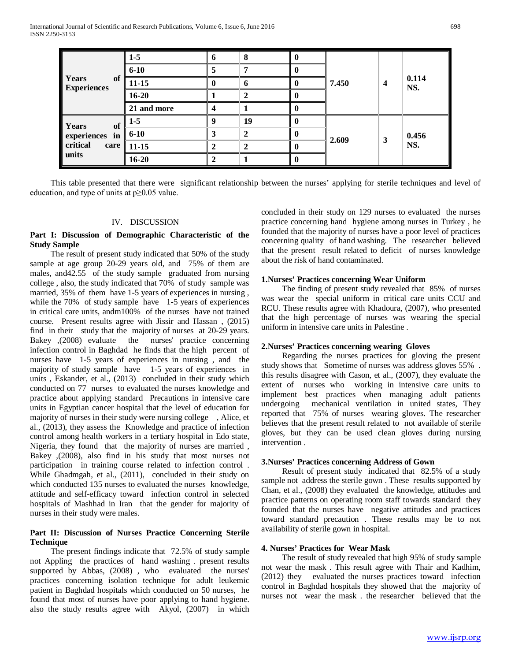|                                                            | $1-5$       | o |    |  |       |   |              |
|------------------------------------------------------------|-------------|---|----|--|-------|---|--------------|
|                                                            | $6 - 10$    |   |    |  | 7.450 | 4 | 0.114<br>NS. |
| Years<br>of<br><b>Experiences</b>                          | $11 - 15$   |   |    |  |       |   |              |
|                                                            | $16 - 20$   |   |    |  |       |   |              |
|                                                            | 21 and more |   |    |  |       |   |              |
| Years<br>of<br>experiences in<br>critical<br>care<br>units | $1-5$       |   | 19 |  | 2.609 | 3 | 0.456<br>NS. |
|                                                            | $6 - 10$    |   |    |  |       |   |              |
|                                                            | $11 - 15$   |   |    |  |       |   |              |
|                                                            | $16 - 20$   |   |    |  |       |   |              |

 This table presented that there were significant relationship between the nurses' applying for sterile techniques and level of education, and type of units at p≥0.05 value.

#### IV. DISCUSSION

#### **Part I: Discussion of Demographic Characteristic of the Study Sample**

 The result of present study indicated that 50% of the study sample at age group 20-29 years old, and 75% of them are males, and42.55 of the study sample graduated from nursing college , also, the study indicated that 70% of study sample was married, 35% of them have 1-5 years of experiences in nursing , while the 70% of study sample have 1-5 years of experiences in critical care units, andm100% of the nurses have not trained course. Present results agree with Jissir and Hassan , (2015) find in their study that the majority of nurses at 20-29 years. Bakey ,(2008) evaluate the nurses' practice concerning infection control in Baghdad he finds that the high percent of nurses have 1-5 years of experiences in nursing , and the majority of study sample have 1-5 years of experiences in units , Eskander, et al., (2013) concluded in their study which conducted on 77 nurses to evaluated the nurses knowledge and practice about applying standard Precautions in intensive care units in Egyptian cancer hospital that the level of education for majority of nurses in their study were nursing college , Alice, et al., (2013), they assess the Knowledge and practice of infection control among health workers in a tertiary hospital in Edo state, Nigeria, they found that the majority of nurses are married , Bakey ,(2008), also find in his study that most nurses not participation in training course related to infection control . While Ghadmgah, et al., (2011), concluded in their study on which conducted 135 nurses to evaluated the nurses knowledge, attitude and self-efficacy toward infection control in selected hospitals of Mashhad in Iran that the gender for majority of nurses in their study were males.

#### **Part II: Discussion of Nurses Practice Concerning Sterile Technique**

 The present findings indicate that 72.5% of study sample not Appling the practices of hand washing . present results supported by Abbas, (2008) , who evaluated the nurses' practices concerning isolation technique for adult leukemic patient in Baghdad hospitals which conducted on 50 nurses, he found that most of nurses have poor applying to hand hygiene. also the study results agree with Akyol, (2007) in which concluded in their study on 129 nurses to evaluated the nurses practice concerning hand hygiene among nurses in Turkey , he founded that the majority of nurses have a poor level of practices concerning quality of hand washing. The researcher believed that the present result related to deficit of nurses knowledge about the risk of hand contaminated.

#### **1.Nurses' Practices concerning Wear Uniform**

 The finding of present study revealed that 85% of nurses was wear the special uniform in critical care units CCU and RCU. These results agree with Khadoura, (2007), who presented that the high percentage of nurses was wearing the special uniform in intensive care units in Palestine .

#### **2.Nurses' Practices concerning wearing Gloves**

 Regarding the nurses practices for gloving the present study shows that Sometime of nurses was address gloves 55% . this results disagree with Cason, et al., (2007), they evaluate the extent of nurses who working in intensive care units to implement best practices when managing adult patients undergoing mechanical ventilation in united states, They reported that 75% of nurses wearing gloves. The researcher believes that the present result related to not available of sterile gloves, but they can be used clean gloves during nursing intervention .

#### **3.Nurses' Practices concerning Address of Gown**

 Result of present study indicated that 82.5% of a study sample not address the sterile gown . These results supported by Chan, et al., (2008) they evaluated the knowledge, attitudes and practice patterns on operating room staff towards standard they founded that the nurses have negative attitudes and practices toward standard precaution . These results may be to not availability of sterile gown in hospital.

#### **4. Nurses' Practices for Wear Mask**

 The result of study revealed that high 95% of study sample not wear the mask . This result agree with Thair and Kadhim, (2012) they evaluated the nurses practices toward infection control in Baghdad hospitals they showed that the majority of nurses not wear the mask . the researcher believed that the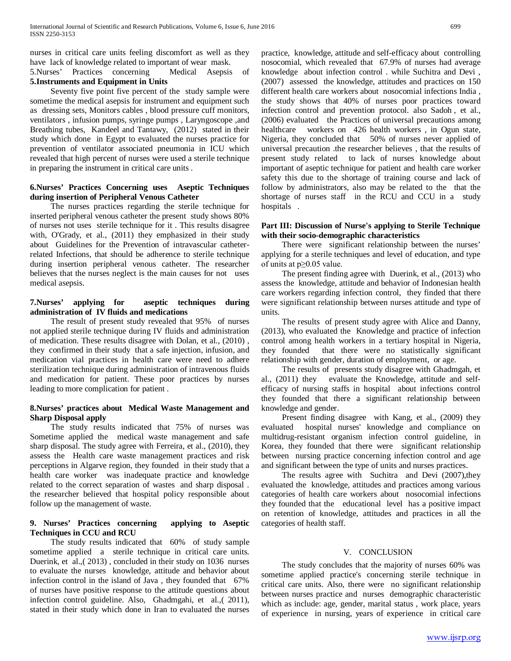nurses in critical care units feeling discomfort as well as they have lack of knowledge related to important of wear mask.

5.Nurses' Practices concerning Medical Asepsis of **5.Instruments and Equipment in Units** 

 Seventy five point five percent of the study sample were sometime the medical asepsis for instrument and equipment such as dressing sets, Monitors cables , blood pressure cuff monitors, ventilators , infusion pumps, syringe pumps , Laryngoscope ,and Breathing tubes, Kandeel and Tantawy, (2012) stated in their study which done in Egypt to evaluated the nurses practice for prevention of ventilator associated pneumonia in ICU which revealed that high percent of nurses were used a sterile technique in preparing the instrument in critical care units .

## **6.Nurses' Practices Concerning uses Aseptic Techniques during insertion of Peripheral Venous Catheter**

 The nurses practices regarding the sterile technique for inserted peripheral venous catheter the present study shows 80% of nurses not uses sterile technique for it . This results disagree with, O'Grady, et al., (2011) they emphasized in their study about Guidelines for the Prevention of intravascular catheterrelated Infections, that should be adherence to sterile technique during insertion peripheral venous catheter. The researcher believes that the nurses neglect is the main causes for not uses medical asepsis.

## **7.Nurses' applying for aseptic techniques during administration of IV fluids and medications**

 The result of present study revealed that 95% of nurses not applied sterile technique during IV fluids and administration of medication. These results disagree with Dolan, et al., (2010) , they confirmed in their study that a safe injection, infusion, and medication vial practices in health care were need to adhere sterilization technique during administration of intravenous fluids and medication for patient. These poor practices by nurses leading to more complication for patient .

# **8.Nurses' practices about Medical Waste Management and Sharp Disposal apply**

 The study results indicated that 75% of nurses was Sometime applied the medical waste management and safe sharp disposal. The study agree with Ferreira, et al., (2010), they assess the Health care waste management practices and risk perceptions in Algarve region, they founded in their study that a health care worker was inadequate practice and knowledge related to the correct separation of wastes and sharp disposal . the researcher believed that hospital policy responsible about follow up the management of waste.

# **9. Nurses' Practices concerning applying to Aseptic Techniques in CCU and RCU**

 The study results indicated that 60% of study sample sometime applied a sterile technique in critical care units. Duerink, et al.,( 2013) , concluded in their study on 1036 nurses to evaluate the nurses knowledge, attitude and behavior about infection control in the island of Java , they founded that 67% of nurses have positive response to the attitude questions about infection control guideline. Also, Ghadmgahi, et al.,( 2011), stated in their study which done in Iran to evaluated the nurses

practice, knowledge, attitude and self-efficacy about controlling nosocomial, which revealed that 67.9% of nurses had average knowledge about infection control . while Suchitra and Devi , (2007) assessed the knowledge, attitudes and practices on 150 different health care workers about nosocomial infections India , the study shows that 40% of nurses poor practices toward infection control and prevention protocol. also Sadoh , et al., (2006) evaluated the Practices of universal precautions among healthcare workers on 426 health workers, in Ogun state, Nigeria, they concluded that 50% of nurses never applied of universal precaution .the researcher believes , that the results of present study related to lack of nurses knowledge about important of aseptic technique for patient and health care worker safety this due to the shortage of training course and lack of follow by administrators, also may be related to the that the shortage of nurses staff in the RCU and CCU in a study hospitals .

#### **Part III: Discussion of Nurse's applying to Sterile Technique with their socio-demographic characteristics**

 There were significant relationship between the nurses' applying for a sterile techniques and level of education, and type of units at p≥0.05 value.

 The present finding agree with Duerink, et al., (2013) who assess the knowledge, attitude and behavior of Indonesian health care workers regarding infection control, they finded that there were significant relationship between nurses attitude and type of units.

 The results of present study agree with Alice and Danny, (2013), who evaluated the Knowledge and practice of infection control among health workers in a tertiary hospital in Nigeria, they founded that there were no statistically significant relationship with gender, duration of employment, or age.

 The results of presents study disagree with Ghadmgah, et al., (2011) they evaluate the Knowledge, attitude and selfefficacy of nursing staffs in hospital about infections control they founded that there a significant relationship between knowledge and gender.

 Present finding disagree with Kang, et al., (2009) they evaluated hospital nurses' knowledge and compliance on multidrug-resistant organism infection control guideline, in Korea, they founded that there were significant relationship between nursing practice concerning infection control and age and significant between the type of units and nurses practices.

The results agree with Suchitra and Devi (2007), they evaluated the knowledge, attitudes and practices among various categories of health care workers about nosocomial infections they founded that the educational level has a positive impact on retention of knowledge, attitudes and practices in all the categories of health staff.

#### V. CONCLUSION

 The study concludes that the majority of nurses 60% was sometime applied practice's concerning sterile technique in critical care units. Also, there were no significant relationship between nurses practice and nurses demographic characteristic which as include: age, gender, marital status , work place, years of experience in nursing, years of experience in critical care